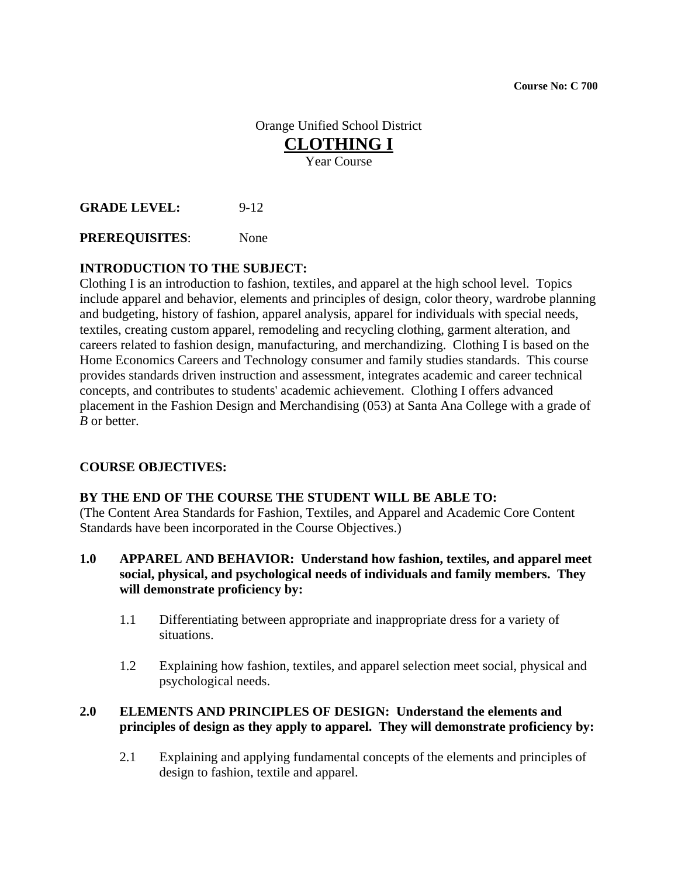**Course No: C 700** 

# Orange Unified School District **CLOTHING I** Year Course

**GRADE LEVEL:** 9-12

**PREREQUISITES**: None

# **INTRODUCTION TO THE SUBJECT:**

Clothing I is an introduction to fashion, textiles, and apparel at the high school level. Topics include apparel and behavior, elements and principles of design, color theory, wardrobe planning and budgeting, history of fashion, apparel analysis, apparel for individuals with special needs, textiles, creating custom apparel, remodeling and recycling clothing, garment alteration, and careers related to fashion design, manufacturing, and merchandizing. Clothing I is based on the Home Economics Careers and Technology consumer and family studies standards. This course provides standards driven instruction and assessment, integrates academic and career technical concepts, and contributes to students' academic achievement. Clothing I offers advanced placement in the Fashion Design and Merchandising (053) at Santa Ana College with a grade of *B* or better.

#### **COURSE OBJECTIVES:**

#### **BY THE END OF THE COURSE THE STUDENT WILL BE ABLE TO:**

(The Content Area Standards for Fashion, Textiles, and Apparel and Academic Core Content Standards have been incorporated in the Course Objectives.)

- **1.0 APPAREL AND BEHAVIOR: Understand how fashion, textiles, and apparel meet social, physical, and psychological needs of individuals and family members. They will demonstrate proficiency by:** 
	- 1.1 Differentiating between appropriate and inappropriate dress for a variety of situations.
	- 1.2 Explaining how fashion, textiles, and apparel selection meet social, physical and psychological needs.

### **2.0 ELEMENTS AND PRINCIPLES OF DESIGN: Understand the elements and principles of design as they apply to apparel. They will demonstrate proficiency by:**

2.1 Explaining and applying fundamental concepts of the elements and principles of design to fashion, textile and apparel.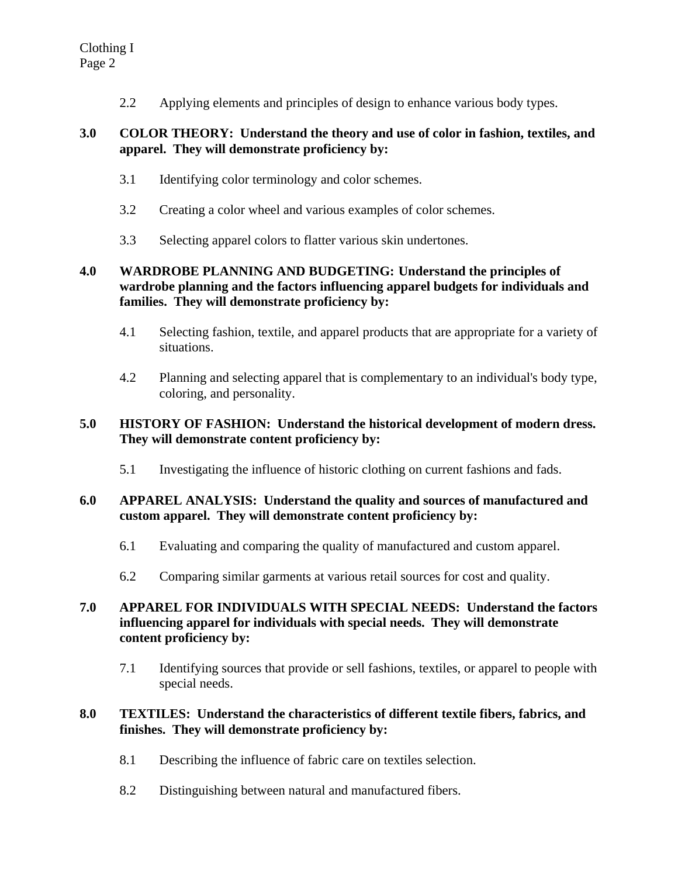2.2 Applying elements and principles of design to enhance various body types.

### **3.0 COLOR THEORY: Understand the theory and use of color in fashion, textiles, and apparel. They will demonstrate proficiency by:**

- 3.1 Identifying color terminology and color schemes.
- 3.2 Creating a color wheel and various examples of color schemes.
- 3.3 Selecting apparel colors to flatter various skin undertones.

# **4.0 WARDROBE PLANNING AND BUDGETING: Understand the principles of wardrobe planning and the factors influencing apparel budgets for individuals and families. They will demonstrate proficiency by:**

- 4.1 Selecting fashion, textile, and apparel products that are appropriate for a variety of situations.
- 4.2 Planning and selecting apparel that is complementary to an individual's body type, coloring, and personality.

# **5.0 HISTORY OF FASHION: Understand the historical development of modern dress. They will demonstrate content proficiency by:**

5.1 Investigating the influence of historic clothing on current fashions and fads.

# **6.0 APPAREL ANALYSIS: Understand the quality and sources of manufactured and custom apparel. They will demonstrate content proficiency by:**

- 6.1 Evaluating and comparing the quality of manufactured and custom apparel.
- 6.2 Comparing similar garments at various retail sources for cost and quality.

# **7.0 APPAREL FOR INDIVIDUALS WITH SPECIAL NEEDS: Understand the factors influencing apparel for individuals with special needs. They will demonstrate content proficiency by:**

7.1 Identifying sources that provide or sell fashions, textiles, or apparel to people with special needs.

# **8.0 TEXTILES: Understand the characteristics of different textile fibers, fabrics, and finishes. They will demonstrate proficiency by:**

- 8.1 Describing the influence of fabric care on textiles selection.
- 8.2 Distinguishing between natural and manufactured fibers.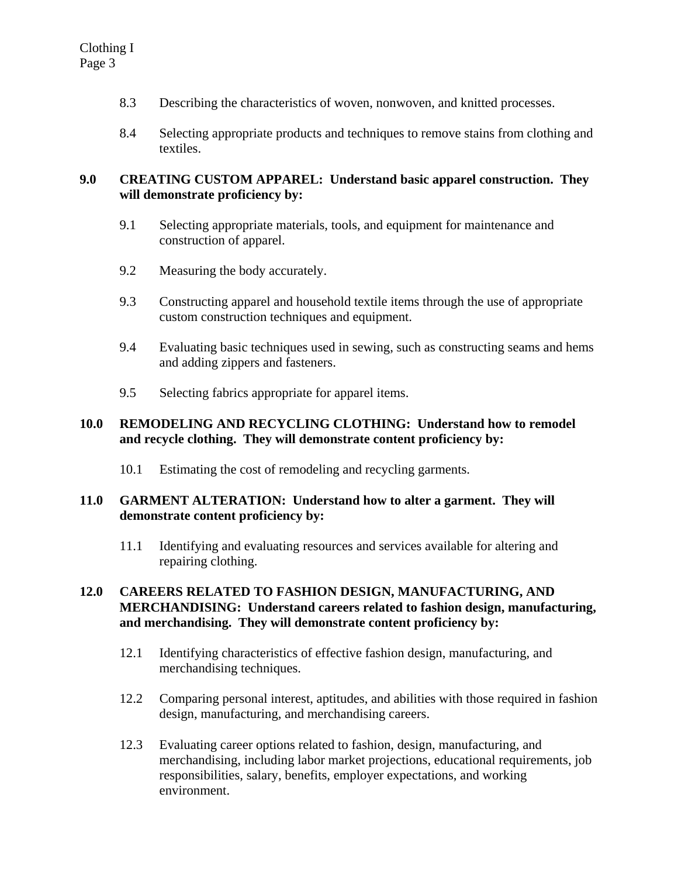- 8.3 Describing the characteristics of woven, nonwoven, and knitted processes.
- 8.4 Selecting appropriate products and techniques to remove stains from clothing and textiles.

### **9.0 CREATING CUSTOM APPAREL: Understand basic apparel construction. They will demonstrate proficiency by:**

- 9.1 Selecting appropriate materials, tools, and equipment for maintenance and construction of apparel.
- 9.2 Measuring the body accurately.
- 9.3 Constructing apparel and household textile items through the use of appropriate custom construction techniques and equipment.
- 9.4 Evaluating basic techniques used in sewing, such as constructing seams and hems and adding zippers and fasteners.
- 9.5 Selecting fabrics appropriate for apparel items.

#### **10.0 REMODELING AND RECYCLING CLOTHING: Understand how to remodel and recycle clothing. They will demonstrate content proficiency by:**

10.1 Estimating the cost of remodeling and recycling garments.

#### **11.0 GARMENT ALTERATION: Understand how to alter a garment. They will demonstrate content proficiency by:**

11.1 Identifying and evaluating resources and services available for altering and repairing clothing.

### **12.0 CAREERS RELATED TO FASHION DESIGN, MANUFACTURING, AND MERCHANDISING: Understand careers related to fashion design, manufacturing, and merchandising. They will demonstrate content proficiency by:**

- 12.1 Identifying characteristics of effective fashion design, manufacturing, and merchandising techniques.
- 12.2 Comparing personal interest, aptitudes, and abilities with those required in fashion design, manufacturing, and merchandising careers.
- 12.3 Evaluating career options related to fashion, design, manufacturing, and merchandising, including labor market projections, educational requirements, job responsibilities, salary, benefits, employer expectations, and working environment.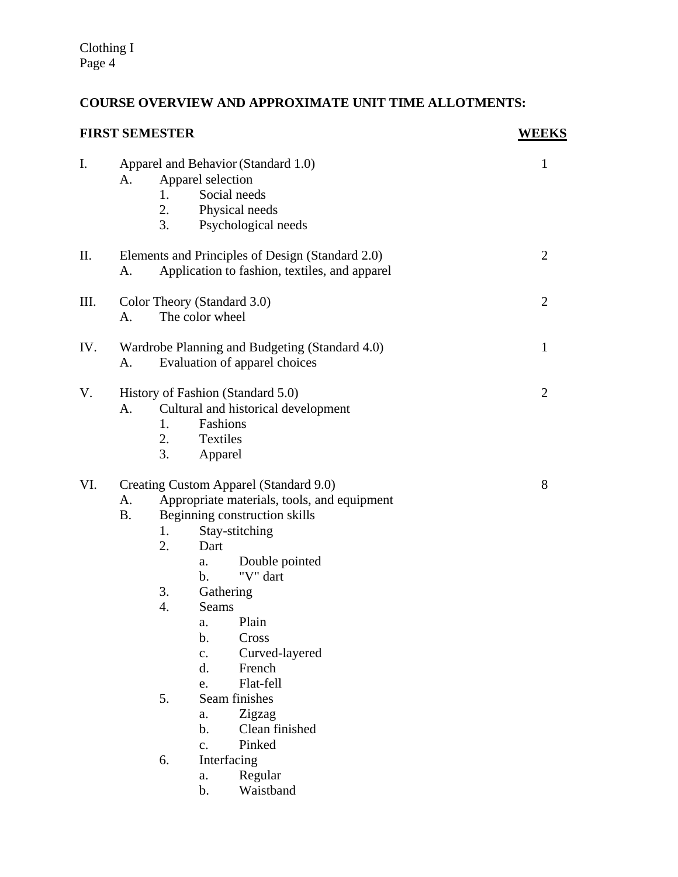# **COURSE OVERVIEW AND APPROXIMATE UNIT TIME ALLOTMENTS:**

| <b>FIRST SEMESTER</b> |                                                     | <b>WEEKS</b>                                                                                                                                                                                                                                                                                                                                                                                                                                                                                                            |                |
|-----------------------|-----------------------------------------------------|-------------------------------------------------------------------------------------------------------------------------------------------------------------------------------------------------------------------------------------------------------------------------------------------------------------------------------------------------------------------------------------------------------------------------------------------------------------------------------------------------------------------------|----------------|
| Ι.                    | A.<br>1.<br>3.                                      | Apparel and Behavior (Standard 1.0)<br>Apparel selection<br>Social needs<br>2. Physical needs<br>Psychological needs                                                                                                                                                                                                                                                                                                                                                                                                    | $\mathbf{1}$   |
| П.                    | A.                                                  | Elements and Principles of Design (Standard 2.0)<br>Application to fashion, textiles, and apparel                                                                                                                                                                                                                                                                                                                                                                                                                       | 2              |
| III.                  | A.                                                  | Color Theory (Standard 3.0)<br>The color wheel                                                                                                                                                                                                                                                                                                                                                                                                                                                                          | $\overline{2}$ |
| IV.                   | А.                                                  | Wardrobe Planning and Budgeting (Standard 4.0)<br>Evaluation of apparel choices                                                                                                                                                                                                                                                                                                                                                                                                                                         | $\mathbf{1}$   |
| V.                    | A.<br>1.<br>2.<br>3.                                | History of Fashion (Standard 5.0)<br>Cultural and historical development<br>Fashions<br>Textiles<br>Apparel                                                                                                                                                                                                                                                                                                                                                                                                             | $\overline{2}$ |
| VI.                   | A.<br><b>B.</b><br>1.<br>2.<br>3.<br>4.<br>5.<br>6. | Creating Custom Apparel (Standard 9.0)<br>Appropriate materials, tools, and equipment<br>Beginning construction skills<br>Stay-stitching<br>Dart<br>Double pointed<br>a.<br>"V" dart<br>$\mathbf{b}$ .<br>Gathering<br>Seams<br>Plain<br>a.<br>$\mathbf b$ .<br>Cross<br>Curved-layered<br>$\mathbf{c}$ .<br>$\mathbf{d}$ .<br>French<br>Flat-fell<br>e.<br>Seam finishes<br>Zigzag<br>a.<br>$\mathbf{b}$ .<br>Clean finished<br>Pinked<br>$\mathbf{c}$ .<br>Interfacing<br>Regular<br>a.<br>Waistband<br>$\mathbf b$ . | 8              |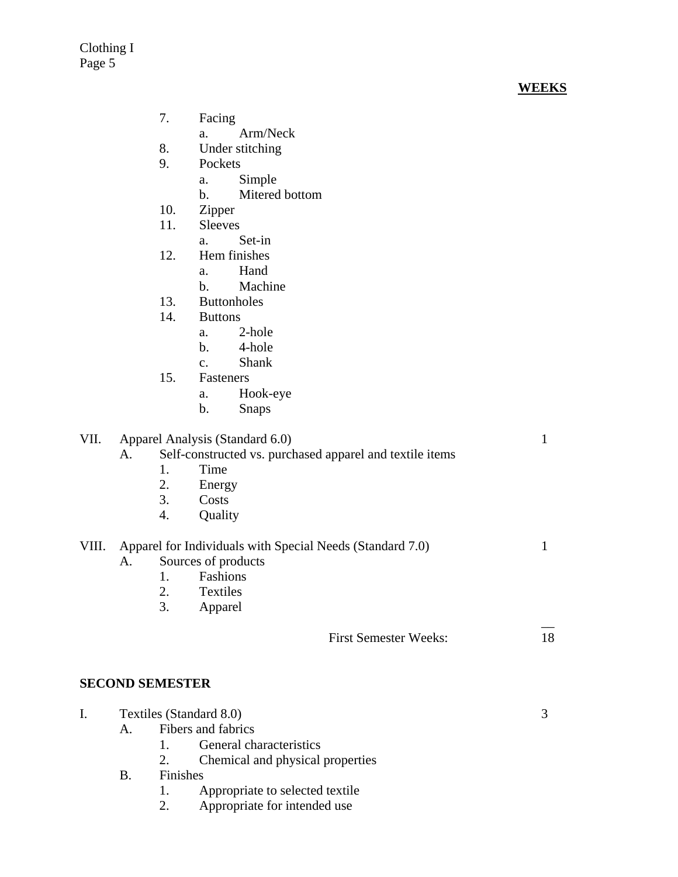Clothing I Page 5

| Facing |
|--------|
|        |

- a. Arm/Neck
- 8. Under stitching
- 9. Pockets
	- a. Simple
		- b. Mitered bottom
- 10. Zipper
- 11. Sleeves
	- a. Set-in
- 12. Hem finishes
	- a. Hand
	- b. Machine
- 13. Buttonholes
- 14. Buttons
	- a. 2-hole
	- b. 4-hole
	- c. Shank
- 15. Fasteners
	- a. Hook-eye
	- b. Snaps

| VII. | Apparel Analysis (Standard 6.0) |  |
|------|---------------------------------|--|
|------|---------------------------------|--|

# A. Self-constructed vs. purchased apparel and textile items

- 1. Time
- 2. Energy
- 3. Costs
- 4. Quality

VIII. Apparel for Individuals with Special Needs (Standard 7.0) 1

- A. Sources of products
	- 1. Fashions
	- 2. Textiles
	- 3. Apparel

| <b>First Semester Weeks:</b> |  |
|------------------------------|--|
|------------------------------|--|

 $\frac{1}{2}$ 

### **SECOND SEMESTER**

|  | Textiles (Standard 8.0) |                                                   |  |
|--|-------------------------|---------------------------------------------------|--|
|  | $A_{-}$                 | Fibers and fabrics                                |  |
|  |                         | General characteristics                           |  |
|  |                         | Chemical and physical properties<br>2.            |  |
|  | B.                      | <b>Finishes</b>                                   |  |
|  |                         | Appropriate to selected textile<br>$\mathbf{1}$ . |  |
|  |                         | $\lambda$ 11                                      |  |

2. Appropriate for intended use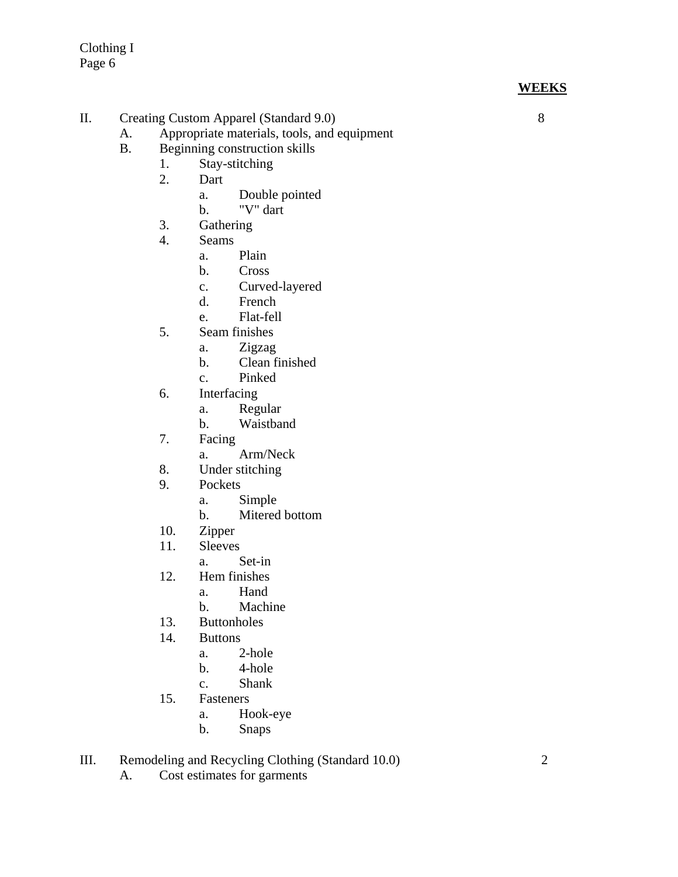**WEEKS**

- II. Creating Custom Apparel (Standard 9.0) 8
	- A. Appropriate materials, tools, and equipment
	- B. Beginning construction skills
		- 1. Stay-stitching
		- 2. Dart
			- a. Double pointed
			- b. "V" dart
		- 3. Gathering
		- 4. Seams
			- a. Plain
			- b. Cross
			- c. Curved-layered
			- d. French
			- e. Flat-fell
		- 5. Seam finishes
			- a. Zigzag
			- b. Clean finished
			- c. Pinked
		- 6. Interfacing
			- a. Regular
			- b. Waistband
		- 7. Facing
			- a. Arm/Neck
		- 8. Under stitching
		- 9. Pockets
			- a. Simple
			- b. Mitered bottom
		- 10. Zipper
		- 11. Sleeves
			- a. Set-in
		- 12. Hem finishes
			- a. Hand
			- b. Machine
		- 13. Buttonholes
		- 14. Buttons
			- a. 2-hole
			- b. 4-hole
			- c. Shank
		- 15. Fasteners
			- a. Hook-eye
			- b. Snaps
- III. Remodeling and Recycling Clothing (Standard 10.0) 2
	- A. Cost estimates for garments